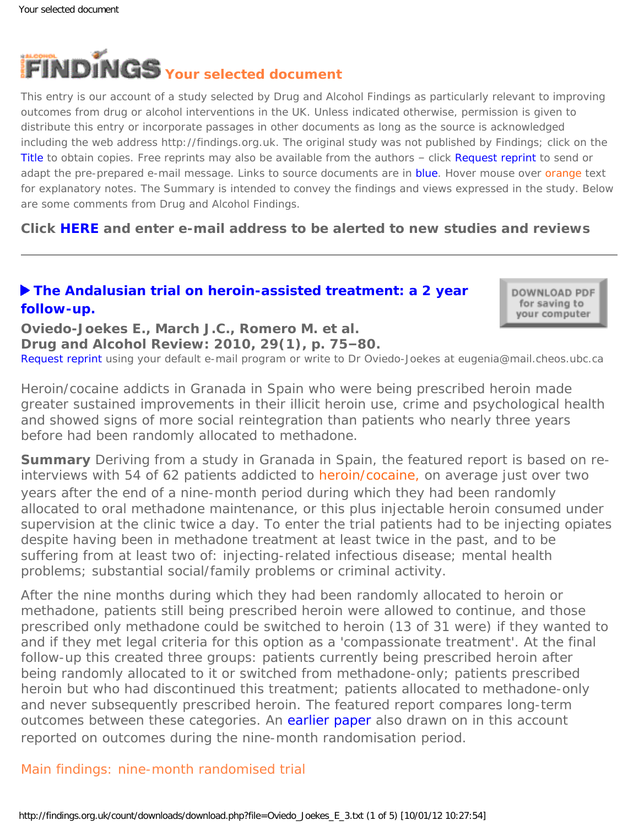<span id="page-0-0"></span>

This entry is our account of a study selected by Drug and Alcohol Findings as particularly relevant to improving outcomes from drug or alcohol interventions in the UK. Unless indicated otherwise, permission is given to distribute this entry or incorporate passages in other documents as long as the source is acknowledged including the web address http://findings.org.uk. The original study was not published by Findings; click on the Title to obtain copies. Free reprints may also be available from the authors – click Request reprint to send or adapt the pre-prepared e-mail message. Links to source documents are in blue. Hover mouse over orange text for explanatory notes. The Summary is intended to convey the findings and views expressed in the study. Below are some comments from Drug and Alcohol Findings.

**Click [HERE](http://findings.org.uk/index.php#signUp) and enter e-mail address to be alerted to new studies and reviews**

# **[The Andalusian trial on heroin-assisted treatment: a 2 year](http://dx.doi.org/10.1111/j.1465-3362.2009.00100.x)  [follow-up.](http://dx.doi.org/10.1111/j.1465-3362.2009.00100.x)**

DOWNLOAD PDF for saving to your computer

**Oviedo-Joekes E., March J.C., Romero M. et al. Drug and Alcohol Review: 2010, 29(1), p. 75–80.** [Request reprint](mailto:eugenia@mail.cheos.ubc.ca?Subject=Reprint%20request&body=Dear Dr Oviedo-Joekes%0A%0AOn the Drug and Alcohol Findings web site (http://findings.org.uk) I read about your article:%0AOviedo-Joekes E., March J.C., Romero M. et al. The Andalusian trial on heroin-assisted treatment: a 2 year follow-up. Drug and Alcohol Review: 2010, 29(1), p. 75-80.%0A%0AWould it be possible to for me to be sent a PDF reprint or the manuscript by replying to this e-mail?%0A) using your default e-mail program or write to Dr Oviedo-Joekes at eugenia@mail.cheos.ubc.ca

*Heroin/cocaine addicts in Granada in Spain who were being prescribed heroin made greater sustained improvements in their illicit heroin use, crime and psychological health and showed signs of more social reintegration than patients who nearly three years before had been randomly allocated to methadone.*

**Summary** Deriving from a study in Granada in Spain, the featured report is based on reinterviews with 54 of 62 patients addicted to [heroin/cocaine,](#page-0-0) on average just over two years after the end of a nine-month period during which they had been randomly allocated to oral methadone maintenance, or this plus injectable heroin consumed under supervision at the clinic twice a day. To enter the trial patients had to be injecting opiates despite having been in methadone treatment at least twice in the past, and to be suffering from at least two of: injecting-related infectious disease; mental health problems; substantial social/family problems or criminal activity.

After the nine months during which they had been randomly allocated to heroin or methadone, patients still being prescribed heroin were allowed to continue, and those prescribed only methadone could be switched to heroin (13 of 31 were) if they wanted to and if they met legal criteria for this option as a 'compassionate treatment'. At the final follow-up this created three groups: patients currently being prescribed heroin after being randomly allocated to it or switched from methadone-only; patients prescribed heroin but who had discontinued this treatment; patients allocated to methadone-only and never subsequently prescribed heroin. The featured report compares long-term outcomes between these categories. An [earlier paper](http://dx.doi.org/10.1016/j.jsat.2006.04.007) also drawn on in this account reported on outcomes during the nine-month randomisation period.

## Main findings: nine-month randomised trial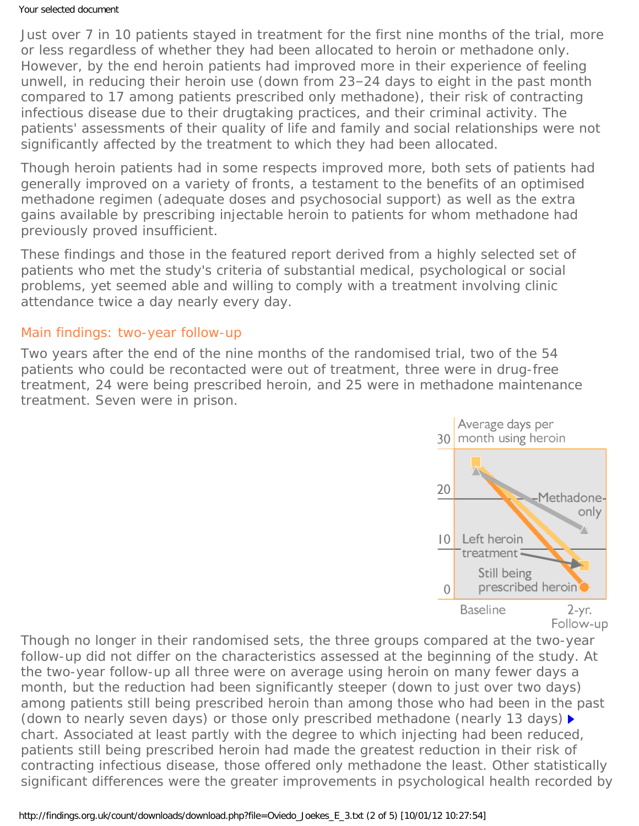#### Your selected document

Just over 7 in 10 patients stayed in treatment for the first nine months of the trial, more or less regardless of whether they had been allocated to heroin or methadone only. However, by the end heroin patients had improved more in their experience of feeling unwell, in reducing their heroin use (down from 23–24 days to eight in the past month compared to 17 among patients prescribed only methadone), their risk of contracting infectious disease due to their drugtaking practices, and their criminal activity. The patients' assessments of their quality of life and family and social relationships were not significantly affected by the treatment to which they had been allocated.

Though heroin patients had in some respects improved more, both sets of patients had generally improved on a variety of fronts, a testament to the benefits of an optimised methadone regimen (adequate doses and psychosocial support) as well as the extra gains available by prescribing injectable heroin to patients for whom methadone had previously proved insufficient.

These findings and those in the featured report derived from a highly selected set of patients who met the study's criteria of substantial medical, psychological or social problems, yet seemed able and willing to comply with a treatment involving clinic attendance twice a day nearly every day.

### Main findings: two-year follow-up

Two years after the end of the nine months of the randomised trial, two of the 54 patients who could be recontacted were out of treatment, three were in drug-free treatment, 24 were being prescribed heroin, and 25 were in methadone maintenance treatment. Seven were in prison.



Though no longer in their randomised sets, the three groups compared at the two-year follow-up did not differ on the characteristics assessed at the beginning of the study. At the two-year follow-up all three were on average using heroin on many fewer days a month, but the reduction had been significantly steeper (down to just over two days) among patients still being prescribed heroin than among those who had been in the past (down to nearly seven days) or those only prescribed methadone (nearly 13 days) *chart*. Associated at least partly with the degree to which injecting had been reduced, patients still being prescribed heroin had made the greatest reduction in their risk of contracting infectious disease, those offered only methadone the least. Other statistically significant differences were the greater improvements in psychological health recorded by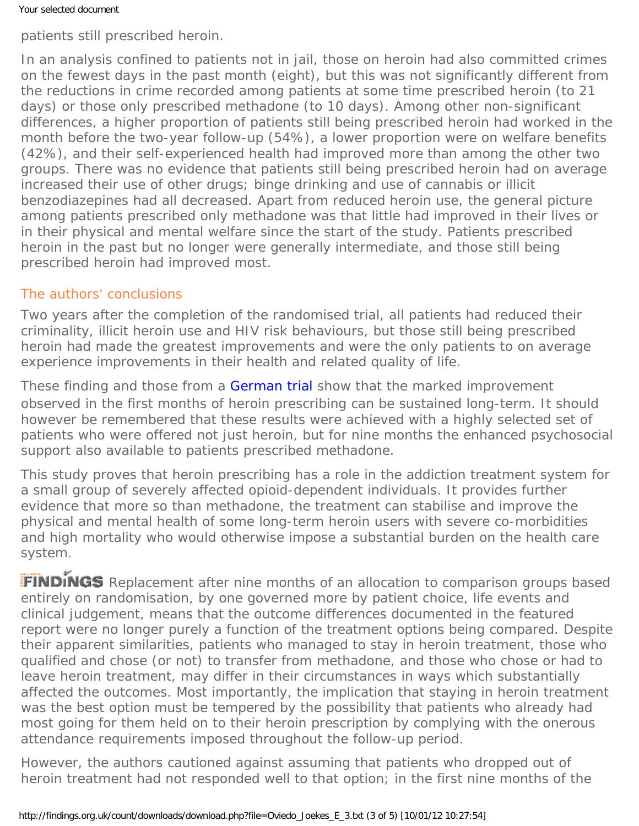patients still prescribed heroin.

In an analysis confined to patients not in jail, those on heroin had also committed crimes on the fewest days in the past month (eight), but this was not significantly different from the reductions in crime recorded among patients at some time prescribed heroin (to 21 days) or those only prescribed methadone (to 10 days). Among other non-significant differences, a higher proportion of patients still being prescribed heroin had worked in the month before the two-year follow-up (54%), a lower proportion were on welfare benefits (42%), and their self-experienced health had improved more than among the other two groups. There was no evidence that patients still being prescribed heroin had on average increased their use of other drugs; binge drinking and use of cannabis or illicit benzodiazepines had all decreased. Apart from reduced heroin use, the general picture among patients prescribed only methadone was that little had improved in their lives or in their physical and mental welfare since the start of the study. Patients prescribed heroin in the past but no longer were generally intermediate, and those still being prescribed heroin had improved most.

## The authors' conclusions

Two years after the completion of the randomised trial, all patients had reduced their criminality, illicit heroin use and HIV risk behaviours, but those still being prescribed heroin had made the greatest improvements and were the only patients to on average experience improvements in their health and related quality of life.

These finding and those from a [German trial](http://findings.org.uk/count/downloads/download.php?file=Haasen_C_5.txt) show that the marked improvement observed in the first months of heroin prescribing can be sustained long-term. It should however be remembered that these results were achieved with a highly selected set of patients who were offered not just heroin, but for nine months the enhanced psychosocial support also available to patients prescribed methadone.

This study proves that heroin prescribing has a role in the addiction treatment system for a small group of severely affected opioid-dependent individuals. It provides further evidence that more so than methadone, the treatment can stabilise and improve the physical and mental health of some long-term heroin users with severe co-morbidities and high mortality who would otherwise impose a substantial burden on the health care system.

FINDINGS Replacement after nine months of an allocation to comparison groups based entirely on randomisation, by one governed more by patient choice, life events and clinical judgement, means that the outcome differences documented in the featured report were no longer purely a function of the treatment options being compared. Despite their apparent similarities, patients who managed to stay in heroin treatment, those who qualified and chose (or not) to transfer from methadone, and those who chose or had to leave heroin treatment, may differ in their circumstances in ways which substantially affected the outcomes. Most importantly, the implication that staying in heroin treatment was the best option must be tempered by the possibility that patients who already had most going for them held on to their heroin prescription by complying with the onerous attendance requirements imposed throughout the follow-up period.

However, the authors cautioned against assuming that patients who dropped out of heroin treatment had not responded well to that option; in the first nine months of the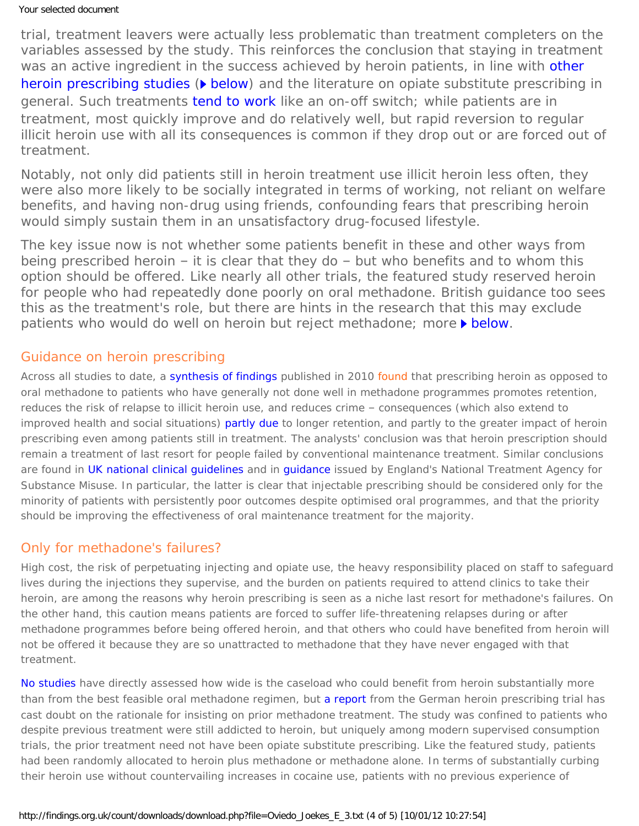trial, treatment leavers were actually less problematic than treatment completers on the variables assessed by the study. This reinforces the conclusion that staying in treatment was an active ingredient in the success achieved by heroin patients, in line with other [heroin prescribing studies](http://findings.org.uk/count/downloads/download.php?file=Ashton_M_22.pdf) ( $\triangleright$  [below](#page-3-0)) and the literature on opiate substitute prescribing in general. Such treatments [tend to work](http://findings.org.uk/count/downloads/download.php?file=Franey_C_1.pdf) like an on-off switch; while patients are in treatment, most quickly improve and do relatively well, but rapid reversion to regular illicit heroin use with all its consequences is common if they drop out or are forced out of treatment.

Notably, not only did patients still in heroin treatment use illicit heroin less often, they were also more likely to be socially integrated in terms of working, not reliant on welfare benefits, and having non-drug using friends, confounding fears that prescribing heroin would simply sustain them in an unsatisfactory drug-focused lifestyle.

The key issue now is not whether some patients benefit in these and other ways from being prescribed heroin – it is clear that they do – but who benefits and to whom this option should be offered. Like nearly all other trials, the featured study reserved heroin for people who had repeatedly done poorly on oral methadone. British guidance too sees this as the treatment's role, but there are hints in the research that this may exclude patients who would do well on heroin but reject methadone; more [below.](#page-3-1)

## <span id="page-3-0"></span>Guidance on heroin prescribing

Across all studies to date, a [synthesis of findings](http://findings.org.uk/count/downloads/download.php?file=Ferri_M_1.txt) published in 2010 [found](#page-0-0) that prescribing heroin as opposed to oral methadone to patients who have generally not done well in methadone programmes promotes retention, reduces the risk of relapse to illicit heroin use, and reduces crime – consequences (which also extend to improved health and social situations) [partly due](http://findings.org.uk/count/downloads/download.php?file=Ashton_M_22.pdf) to longer retention, and partly to the greater impact of heroin prescribing even among patients still in treatment. The analysts' conclusion was that heroin prescription should remain a treatment of last resort for people failed by conventional maintenance treatment. Similar conclusions are found in [UK national clinical guidelines](http://www.dh.gov.uk/en/Publicationsandstatistics/Publications/PublicationsPolicyAndGuidance/DH_104819) and in [guidance](http://www.nta.nhs.uk/uploads/nta_injectable_heroin_and_methadone_2003_fullguide.pdf) issued by England's National Treatment Agency for Substance Misuse. In particular, the latter is clear that injectable prescribing should be considered only for the minority of patients with persistently poor outcomes despite optimised oral programmes, and that the priority should be improving the effectiveness of oral maintenance treatment for the majority.

### <span id="page-3-1"></span>Only for methadone's failures?

High cost, the risk of perpetuating injecting and opiate use, the heavy responsibility placed on staff to safeguard lives during the injections they supervise, and the burden on patients required to attend clinics to take their heroin, are among the reasons why heroin prescribing is seen as a niche last resort for methadone's failures. On the other hand, this caution means patients are forced to suffer life-threatening relapses during or after methadone programmes before being offered heroin, and that others who could have benefited from heroin will not be offered it because they are so unattracted to methadone that they have never engaged with that treatment.

[No studies](http://findings.org.uk/count/downloads/download.php?file=Ashton_M_22.pdf) have directly assessed how wide is the caseload who could benefit from heroin substantially more than from the best feasible oral methadone regimen, but [a report](http://findings.org.uk/count/downloads/download.php?file=Haasen_C_5.txt) from the German heroin prescribing trial has cast doubt on the rationale for insisting on prior methadone treatment. The study was confined to patients who despite previous treatment were still addicted to heroin, but uniquely among modern supervised consumption trials, the prior treatment need not have been opiate substitute prescribing. Like the featured study, patients had been randomly allocated to heroin plus methadone or methadone alone. In terms of substantially curbing their heroin use without countervailing increases in cocaine use, patients with no previous experience of